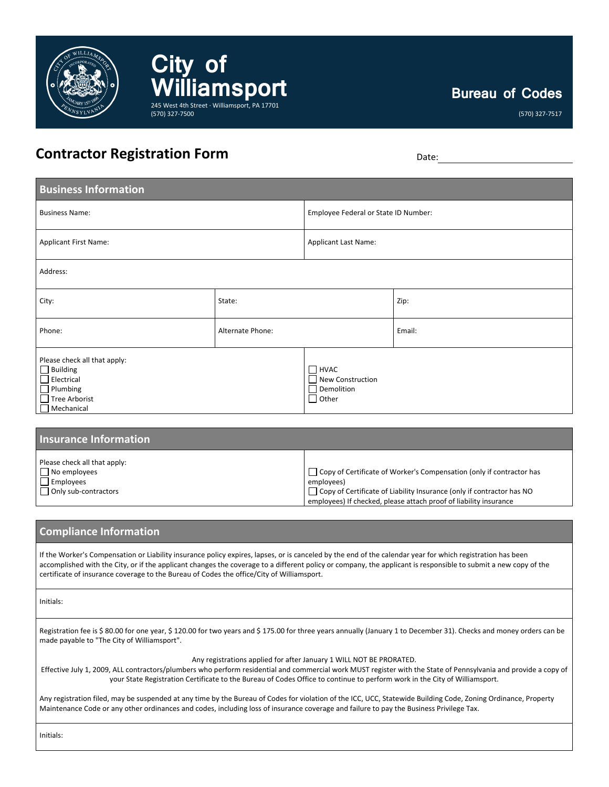

**Bureau of Codes**

(570) 327-7517

## **Contractor Registration Form** Date: Determined by Date:

**City of** 

(570) 327-7500

**Milamsport** 

245 West 4th Street · Williamsport, PA 17701

| <b>Business Information</b>                                                                                                          |                  |                                                               |        |  |
|--------------------------------------------------------------------------------------------------------------------------------------|------------------|---------------------------------------------------------------|--------|--|
| <b>Business Name:</b>                                                                                                                |                  | Employee Federal or State ID Number:                          |        |  |
| <b>Applicant First Name:</b>                                                                                                         |                  | <b>Applicant Last Name:</b>                                   |        |  |
| Address:                                                                                                                             |                  |                                                               |        |  |
| City:                                                                                                                                | State:           |                                                               | Zip:   |  |
| Phone:                                                                                                                               | Alternate Phone: |                                                               | Email: |  |
| Please check all that apply:<br>$\Box$ Building<br>$\Box$ Electrical<br>$\Box$ Plumbing<br>$\Box$ Tree Arborist<br>$\Box$ Mechanical |                  | $\Box$ HVAC<br>New Construction<br>Demolition<br>$\Box$ Other |        |  |

| <b>Insurance Information</b> |                                                                             |
|------------------------------|-----------------------------------------------------------------------------|
| Please check all that apply: | $\Box$ Copy of Certificate of Worker's Compensation (only if contractor has |
| $\Box$ No employees          | employees)                                                                  |
| $\Box$ Employees             | □ Copy of Certificate of Liability Insurance (only if contractor has NO     |
| $\Box$ Only sub-contractors  | employees) If checked, please attach proof of liability insurance           |

## **Compliance Information**

If the Worker's Compensation or Liability insurance policy expires, lapses, or is canceled by the end of the calendar year for which registration has been accomplished with the City, or if the applicant changes the coverage to a different policy or company, the applicant is responsible to submit a new copy of the certificate of insurance coverage to the Bureau of Codes the office/City of Williamsport.

Initials:

Registration fee is \$ 80.00 for one year, \$ 120.00 for two years and \$ 175.00 for three years annually (January 1 to December 31). Checks and money orders can be made payable to "The City of Williamsport".

Any registrations applied for after January 1 WILL NOT BE PRORATED.

Effective July 1, 2009, ALL contractors/plumbers who perform residential and commercial work MUST register with the State of Pennsylvania and provide a copy of your State Registration Certificate to the Bureau of Codes Office to continue to perform work in the City of Williamsport.

Any registration filed, may be suspended at any time by the Bureau of Codes for violation of the ICC, UCC, Statewide Building Code, Zoning Ordinance, Property Maintenance Code or any other ordinances and codes, including loss of insurance coverage and failure to pay the Business Privilege Tax.

Initials: